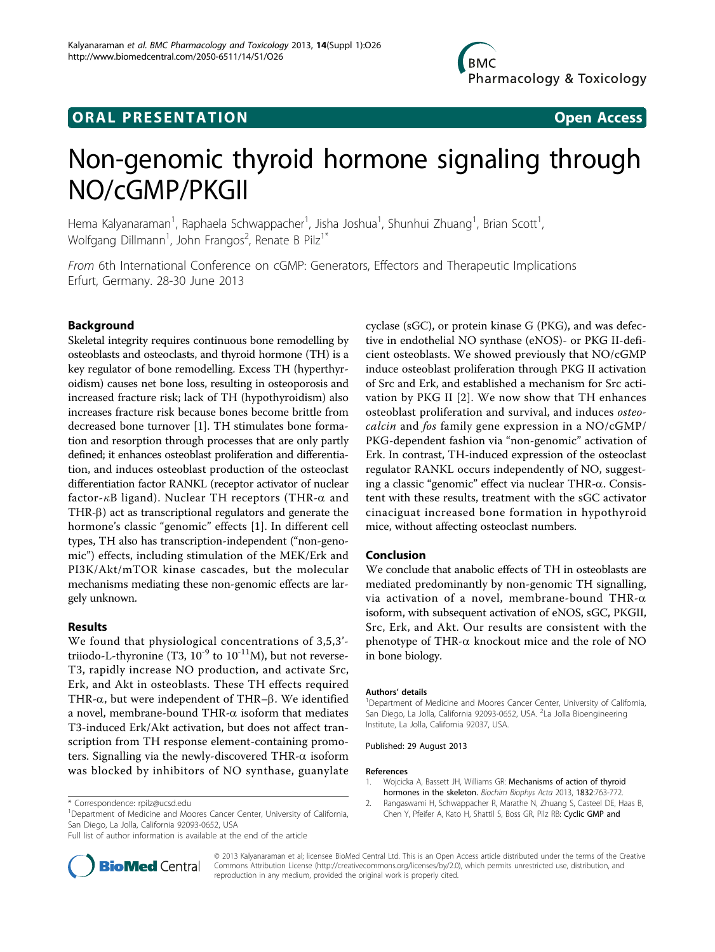# **ORAL PRESENTATION OPEN ACCESS**



# Non-genomic thyroid hormone signaling through NO/cGMP/PKGII

Hema Kalyanaraman<sup>1</sup>, Raphaela Schwappacher<sup>1</sup>, Jisha Joshua<sup>1</sup>, Shunhui Zhuang<sup>1</sup>, Brian Scott<sup>1</sup> , Wolfgang Dillmann<sup>1</sup>, John Frangos<sup>2</sup>, Renate B Pilz<sup>1\*</sup>

From 6th International Conference on cGMP: Generators, Effectors and Therapeutic Implications Erfurt, Germany. 28-30 June 2013

## Background

Skeletal integrity requires continuous bone remodelling by osteoblasts and osteoclasts, and thyroid hormone (TH) is a key regulator of bone remodelling. Excess TH (hyperthyroidism) causes net bone loss, resulting in osteoporosis and increased fracture risk; lack of TH (hypothyroidism) also increases fracture risk because bones become brittle from decreased bone turnover [1]. TH stimulates bone formation and resorption through processes that are only partly defined; it enhances osteoblast proliferation and differentiation, and induces osteoblast production of the osteoclast differentiation factor RANKL (receptor activator of nuclear factor- $\kappa$ B ligand). Nuclear TH receptors (THR- $\alpha$  and THR- $\beta$ ) act as transcriptional regulators and generate the hormone's classic "genomic" effects [1]. In different cell types, TH also has transcription-independent ("non-genomic") effects, including stimulation of the MEK/Erk and PI3K/Akt/mTOR kinase cascades, but the molecular mechanisms mediating these non-genomic effects are largely unknown.

### Results

We found that physiological concentrations of 3,5,3' triiodo-L-thyronine (T3,  $10^{-9}$  to  $10^{-11}$ M), but not reverse-T3, rapidly increase NO production, and activate Src, Erk, and Akt in osteoblasts. These TH effects required THR- $\alpha$ , but were independent of THR- $\beta$ . We identified a novel, membrane-bound THR- $\alpha$  isoform that mediates T3-induced Erk/Akt activation, but does not affect transcription from TH response element-containing promoters. Signalling via the newly-discovered THR- $\alpha$  isoform was blocked by inhibitors of NO synthase, guanylate



#### Conclusion

We conclude that anabolic effects of TH in osteoblasts are mediated predominantly by non-genomic TH signalling, via activation of a novel, membrane-bound THR- $\alpha$ isoform, with subsequent activation of eNOS, sGC, PKGII, Src, Erk, and Akt. Our results are consistent with the phenotype of THR- $\alpha$  knockout mice and the role of NO in bone biology.

#### Authors' details <sup>1</sup>

<sup>1</sup>Department of Medicine and Moores Cancer Center, University of California, San Diego, La Jolla, California 92093-0652, USA. <sup>2</sup>La Jolla Bioengineering Institute, La Jolla, California 92037, USA.

Published: 29 August 2013

#### References

- 1. Wojcicka A, Bassett JH, Williams GR: [Mechanisms of action of thyroid](http://www.ncbi.nlm.nih.gov/pubmed/23462647?dopt=Abstract) [hormones in the skeleton.](http://www.ncbi.nlm.nih.gov/pubmed/23462647?dopt=Abstract) Biochim Biophys Acta 2013, 1832:763-772.
- 2. Rangaswami H, Schwappacher R, Marathe N, Zhuang S, Casteel DE, Haas B, Chen Y, Pfeifer A, Kato H, Shattil S, Boss GR, Pilz RB: Cyclic GMP and



© 2013 Kalyanaraman et al; licensee BioMed Central Ltd. This is an Open Access article distributed under the terms of the Creative Commons Attribution License [\(http://creativecommons.org/licenses/by/2.0](http://creativecommons.org/licenses/by/2.0)), which permits unrestricted use, distribution, and reproduction in any medium, provided the original work is properly cited.

<sup>\*</sup> Correspondence: [rpilz@ucsd.edu](mailto:rpilz@ucsd.edu)

<sup>&</sup>lt;sup>1</sup>Department of Medicine and Moores Cancer Center, University of California, San Diego, La Jolla, California 92093-0652, USA

Full list of author information is available at the end of the article